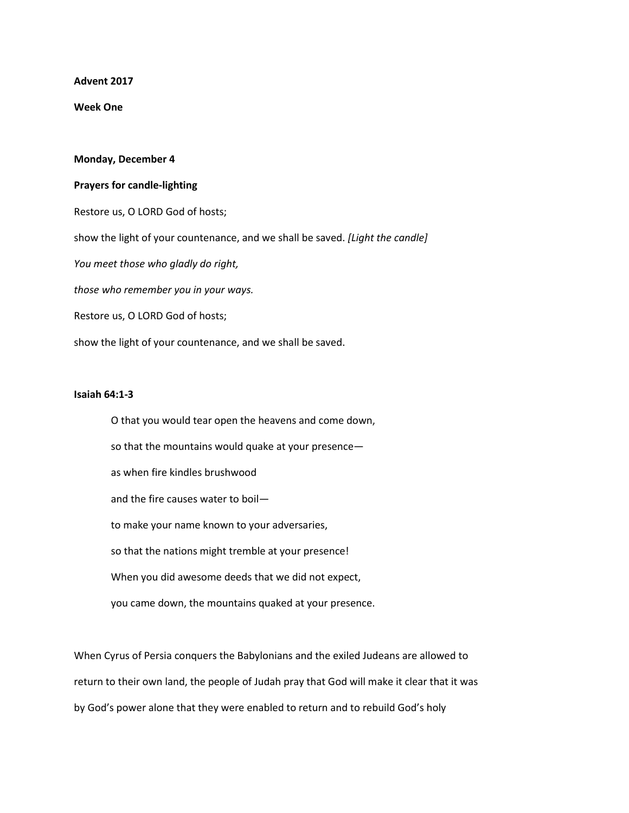**Advent 2017**

**Week One**

## **Monday, December 4**

## **Prayers for candle-lighting**

Restore us, O LORD God of hosts; show the light of your countenance, and we shall be saved. *[Light the candle] You meet those who gladly do right, those who remember you in your ways.* Restore us, O LORD God of hosts; show the light of your countenance, and we shall be saved.

## **Isaiah 64:1-3**

O that you would tear open the heavens and come down, so that the mountains would quake at your presence as when fire kindles brushwood and the fire causes water to boil to make your name known to your adversaries, so that the nations might tremble at your presence! When you did awesome deeds that we did not expect, you came down, the mountains quaked at your presence.

When Cyrus of Persia conquers the Babylonians and the exiled Judeans are allowed to return to their own land, the people of Judah pray that God will make it clear that it was by God's power alone that they were enabled to return and to rebuild God's holy